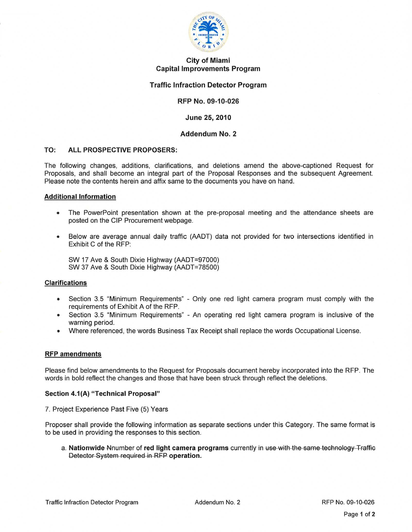

# City of Miami Capital Improvements Program

# Traffic Infraction Detector Program

# RFP No. 09-10-026

# June 25, 2010

## Addendum No. 2

#### TO: ALL PROSPECTIVE PROPOSERS:

The following changes, additions, clarifications, and deletions amend the above-captioned Request for Proposals, and shall become an integral part of the Proposal Responses and the subsequent Agreement. Please note the contents herein and affix same to the documents you have on hand.

#### Additional Information

- The PowerPoint presentation shown at the pre-proposal meeting and the attendance sheets are posted on the CIP Procurement webpage.
- Below are average annual daily traffic (AADT) data not provided for two intersections identified in Exhibit C of the RFP:

SW 17 Ave & South Dixie Highway (AADT=97000) SW 37 Ave & South Dixie Highway (AADT=78500)

#### Clarifications

- Section 3.5 "Minimum Requirements" Only one red light camera program must comply with the requirements of Exhibit A of the RFP.
- Section 3.5 "Minimum Requirements" An operating red light camera program is inclusive of the warning period.
- Where referenced, the words Business Tax Receipt shall replace the words Occupational License.

#### RFP amendments

Please find below amendments to the Request for Proposals document hereby incorporated into the RFP. The words in bold reflect the changes and those that have been struck through reflect the deletions.

#### Section 4.1(A) "Technical Proposal"

7. Project Experience Past Five (5) Years

Proposer shall provide the following information as separate sections under this Category. The same format is to be used in providing the responses to this section.

a. Nationwide Nnumber of red light camera programs currently in use with the same technology Traffic Detector System required in RFP operation.